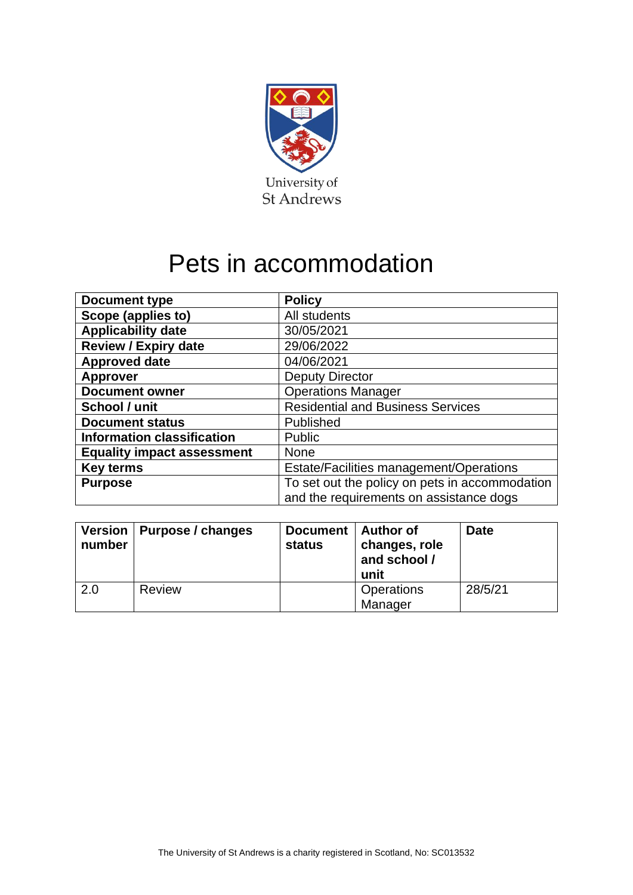

# Pets in accommodation

| <b>Document type</b>              | <b>Policy</b>                                  |  |  |
|-----------------------------------|------------------------------------------------|--|--|
| Scope (applies to)                | All students                                   |  |  |
| <b>Applicability date</b>         | 30/05/2021                                     |  |  |
| <b>Review / Expiry date</b>       | 29/06/2022                                     |  |  |
| <b>Approved date</b>              | 04/06/2021                                     |  |  |
| <b>Approver</b>                   | <b>Deputy Director</b>                         |  |  |
| <b>Document owner</b>             | <b>Operations Manager</b>                      |  |  |
| School / unit                     | <b>Residential and Business Services</b>       |  |  |
| <b>Document status</b>            | Published                                      |  |  |
| <b>Information classification</b> | <b>Public</b>                                  |  |  |
| <b>Equality impact assessment</b> | <b>None</b>                                    |  |  |
| <b>Key terms</b>                  | Estate/Facilities management/Operations        |  |  |
| <b>Purpose</b>                    | To set out the policy on pets in accommodation |  |  |
|                                   | and the requirements on assistance dogs        |  |  |

| number | Version   Purpose / changes | Document  <br>status | Author of<br>changes, role<br>and school /<br>unit | <b>Date</b> |
|--------|-----------------------------|----------------------|----------------------------------------------------|-------------|
| 2.0    | Review                      |                      | <b>Operations</b><br>Manager                       | 28/5/21     |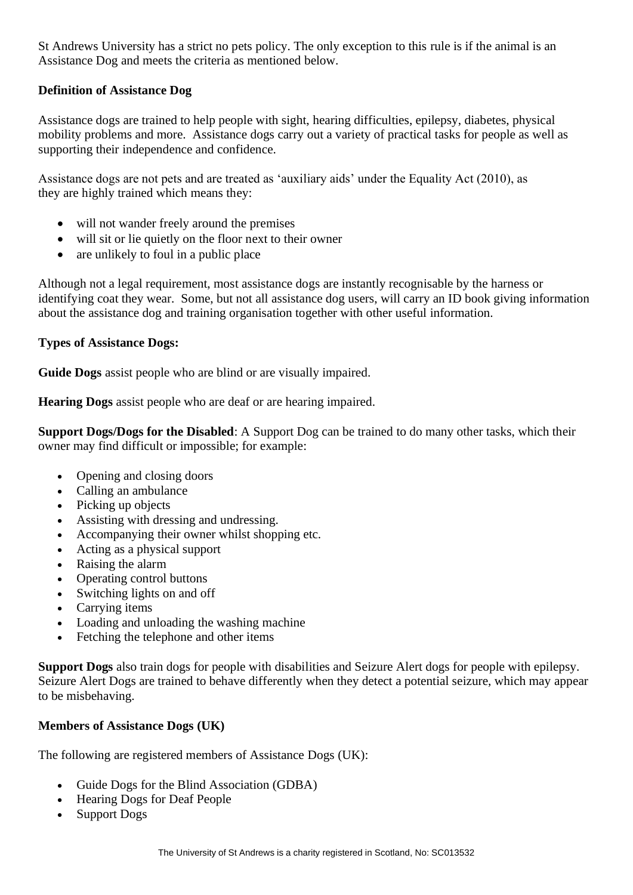St Andrews University has a strict no pets policy. The only exception to this rule is if the animal is an Assistance Dog and meets the criteria as mentioned below.

## **Definition of Assistance Dog**

Assistance dogs are trained to help people with sight, hearing difficulties, epilepsy, diabetes, physical mobility problems and more. Assistance dogs carry out a variety of practical tasks for people as well as supporting their independence and confidence.

Assistance dogs are not pets and are treated as 'auxiliary aids' under the Equality Act (2010), as they are highly trained which means they:

- will not wander freely around the premises
- will sit or lie quietly on the floor next to their owner
- are unlikely to foul in a public place

Although not a legal requirement, most assistance dogs are instantly recognisable by the harness or identifying coat they wear. Some, but not all assistance dog users, will carry an ID book giving information about the assistance dog and training organisation together with other useful information.

### **Types of Assistance Dogs:**

**Guide Dogs** assist people who are blind or are visually impaired.

**Hearing Dogs** assist people who are deaf or are hearing impaired.

**Support Dogs/Dogs for the Disabled**: A Support Dog can be trained to do many other tasks, which their owner may find difficult or impossible; for example:

- Opening and closing doors
- Calling an ambulance
- Picking up objects
- Assisting with dressing and undressing.
- Accompanying their owner whilst shopping etc.
- Acting as a physical support
- Raising the alarm
- Operating control buttons
- Switching lights on and off
- Carrying items
- Loading and unloading the washing machine
- Fetching the telephone and other items

**Support Dogs** also train dogs for people with disabilities and Seizure Alert dogs for people with epilepsy. Seizure Alert Dogs are trained to behave differently when they detect a potential seizure, which may appear to be misbehaving.

### **Members of Assistance Dogs (UK)**

The following are registered members of Assistance Dogs (UK):

- Guide Dogs for the Blind Association (GDBA)
- Hearing Dogs for Deaf People
- Support Dogs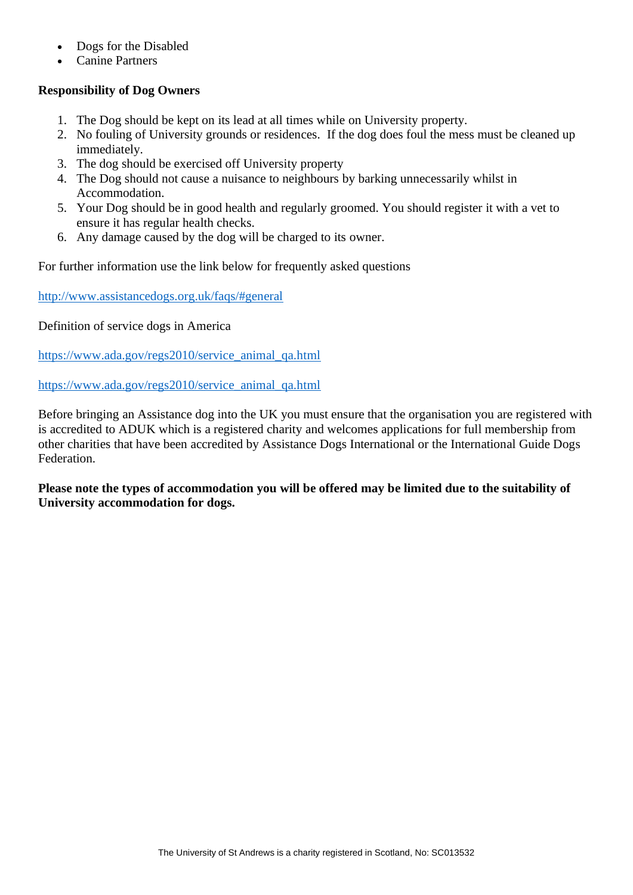- Dogs for the Disabled
- Canine Partners

## **Responsibility of Dog Owners**

- 1. The Dog should be kept on its lead at all times while on University property.
- 2. No fouling of University grounds or residences. If the dog does foul the mess must be cleaned up immediately.
- 3. The dog should be exercised off University property
- 4. The Dog should not cause a nuisance to neighbours by barking unnecessarily whilst in Accommodation.
- 5. Your Dog should be in good health and regularly groomed. You should register it with a vet to ensure it has regular health checks.
- 6. Any damage caused by the dog will be charged to its owner.

For further information use the link below for frequently asked questions

<http://www.assistancedogs.org.uk/faqs/#general>

Definition of service dogs in America

[https://www.ada.gov/regs2010/service\\_animal\\_qa.html](https://www.ada.gov/regs2010/service_animal_qa.html)

[https://www.ada.gov/regs2010/service\\_animal\\_qa.html](https://www.ada.gov/regs2010/service_animal_qa.html)

Before bringing an Assistance dog into the UK you must ensure that the organisation you are registered with is accredited to ADUK which is a registered charity and welcomes applications for full membership from other charities that have been accredited by Assistance Dogs International or the International Guide Dogs Federation.

**Please note the types of accommodation you will be offered may be limited due to the suitability of University accommodation for dogs.**